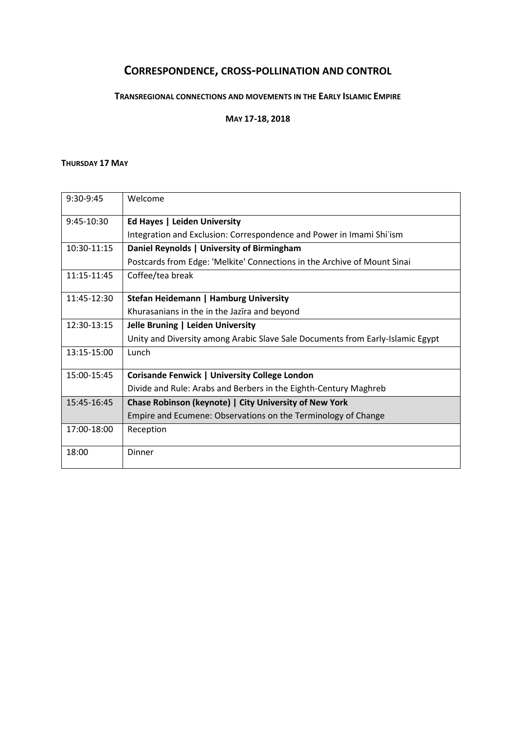## **CORRESPONDENCE, CROSS-POLLINATION AND CONTROL**

## **TRANSREGIONAL CONNECTIONS AND MOVEMENTS IN THE EARLY ISLAMIC EMPIRE**

**MAY 17-18, 2018**

## **THURSDAY 17 MAY**

| 9:30-9:45    | Welcome                                                                        |
|--------------|--------------------------------------------------------------------------------|
| $9:45-10:30$ | Ed Hayes   Leiden University                                                   |
|              | Integration and Exclusion: Correspondence and Power in Imami Shi'ism           |
| 10:30-11:15  | Daniel Reynolds   University of Birmingham                                     |
|              | Postcards from Edge: 'Melkite' Connections in the Archive of Mount Sinai       |
| 11:15-11:45  | Coffee/tea break                                                               |
| 11:45-12:30  | Stefan Heidemann   Hamburg University                                          |
|              | Khurasanians in the in the Jazīra and beyond                                   |
| 12:30-13:15  | Jelle Bruning   Leiden University                                              |
|              | Unity and Diversity among Arabic Slave Sale Documents from Early-Islamic Egypt |
| 13:15-15:00  | Lunch                                                                          |
| 15:00-15:45  | <b>Corisande Fenwick   University College London</b>                           |
|              | Divide and Rule: Arabs and Berbers in the Eighth-Century Maghreb               |
| 15:45-16:45  | Chase Robinson (keynote)   City University of New York                         |
|              | Empire and Ecumene: Observations on the Terminology of Change                  |
| 17:00-18:00  | Reception                                                                      |
| 18:00        | Dinner                                                                         |